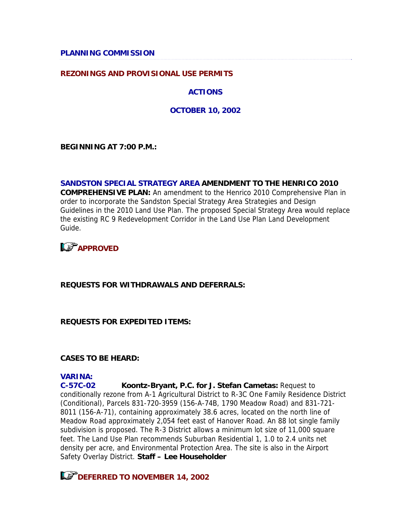**PLANNING COMMISSION** 

#### **REZONINGS AND PROVISIONAL USE PERMITS**

**ACTIONS**

**OCTOBER 10, 2002**

**BEGINNING AT 7:00 P.M.:** 

#### **SANDSTON SPECIAL STRATEGY AREA AMENDMENT TO THE HENRICO 2010**

**COMPREHENSIVE PLAN:** An amendment to the Henrico 2010 Comprehensive Plan in order to incorporate the Sandston Special Strategy Area Strategies and Design Guidelines in the 2010 Land Use Plan. The proposed Special Strategy Area would replace the existing RC 9 Redevelopment Corridor in the Land Use Plan Land Development Guide.

# **LS** APPROVED

#### **REQUESTS FOR WITHDRAWALS AND DEFERRALS:**

#### **REQUESTS FOR EXPEDITED ITEMS:**

#### **CASES TO BE HEARD:**

### **VARINA:**

**C-57C-02 Koontz-Bryant, P.C. for J. Stefan Cametas:** Request to conditionally rezone from A-1 Agricultural District to R-3C One Family Residence District (Conditional), Parcels 831-720-3959 (156-A-74B, 1790 Meadow Road) and 831-721- 8011 (156-A-71), containing approximately 38.6 acres, located on the north line of Meadow Road approximately 2,054 feet east of Hanover Road. An 88 lot single family subdivision is proposed. The R-3 District allows a minimum lot size of 11,000 square feet. The Land Use Plan recommends Suburban Residential 1, 1.0 to 2.4 units net density per acre, and Environmental Protection Area. The site is also in the Airport Safety Overlay District. **Staff – Lee Householder**

**LET DEFERRED TO NOVEMBER 14, 2002**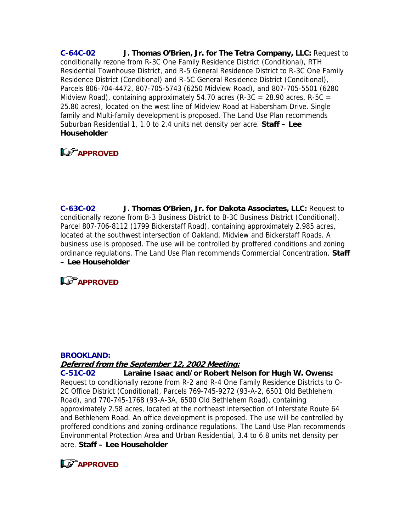**C-64C-02 J. Thomas O'Brien, Jr. for The Tetra Company, LLC:** Request to conditionally rezone from R-3C One Family Residence District (Conditional), RTH Residential Townhouse District, and R-5 General Residence District to R-3C One Family Residence District (Conditional) and R-5C General Residence District (Conditional), Parcels 806-704-4472, 807-705-5743 (6250 Midview Road), and 807-705-5501 (6280 Midview Road), containing approximately 54.70 acres (R-3C = 28.90 acres, R-5C = 25.80 acres), located on the west line of Midview Road at Habersham Drive. Single family and Multi-family development is proposed. The Land Use Plan recommends Suburban Residential 1, 1.0 to 2.4 units net density per acre. **Staff – Lee Householder**

# **APPROVED**

**C-63C-02 J. Thomas O'Brien, Jr. for Dakota Associates, LLC:** Request to conditionally rezone from B-3 Business District to B-3C Business District (Conditional), Parcel 807-706-8112 (1799 Bickerstaff Road), containing approximately 2.985 acres, located at the southwest intersection of Oakland, Midview and Bickerstaff Roads. A business use is proposed. The use will be controlled by proffered conditions and zoning ordinance regulations. The Land Use Plan recommends Commercial Concentration. **Staff – Lee Householder**

**APPROVED** 

#### **BROOKLAND:**

#### **Deferred from the September 12, 2002 Meeting:**

**C-51C-02 Laraine Isaac and/or Robert Nelson for Hugh W. Owens:**  Request to conditionally rezone from R-2 and R-4 One Family Residence Districts to O-2C Office District (Conditional), Parcels 769-745-9272 (93-A-2, 6501 Old Bethlehem Road), and 770-745-1768 (93-A-3A, 6500 Old Bethlehem Road), containing approximately 2.58 acres, located at the northeast intersection of Interstate Route 64 and Bethlehem Road. An office development is proposed. The use will be controlled by proffered conditions and zoning ordinance regulations. The Land Use Plan recommends Environmental Protection Area and Urban Residential, 3.4 to 6.8 units net density per acre. **Staff – Lee Householder**

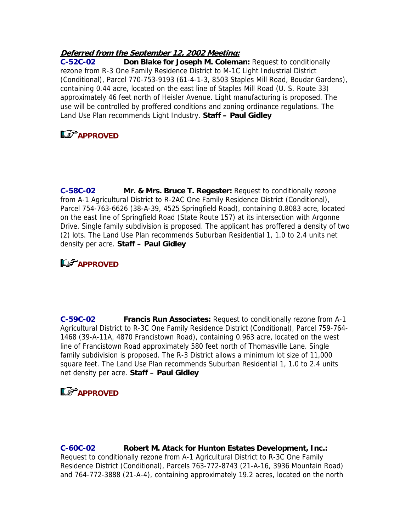### **Deferred from the September 12, 2002 Meeting:**

**C-52C-02 Don Blake for Joseph M. Coleman:** Request to conditionally rezone from R-3 One Family Residence District to M-1C Light Industrial District (Conditional), Parcel 770-753-9193 (61-4-1-3, 8503 Staples Mill Road, Boudar Gardens), containing 0.44 acre, located on the east line of Staples Mill Road (U. S. Route 33) approximately 46 feet north of Heisler Avenue. Light manufacturing is proposed. The use will be controlled by proffered conditions and zoning ordinance regulations. The Land Use Plan recommends Light Industry. **Staff – Paul Gidley**

## **LS** APPROVED

**C-58C-02 Mr. & Mrs. Bruce T. Regester:** Request to conditionally rezone from A-1 Agricultural District to R-2AC One Family Residence District (Conditional), Parcel 754-763-6626 (38-A-39, 4525 Springfield Road), containing 0.8083 acre, located on the east line of Springfield Road (State Route 157) at its intersection with Argonne Drive. Single family subdivision is proposed. The applicant has proffered a density of two (2) lots. The Land Use Plan recommends Suburban Residential 1, 1.0 to 2.4 units net density per acre. **Staff – Paul Gidley**

# **APPROVED**

**C-59C-02 Francis Run Associates:** Request to conditionally rezone from A-1 Agricultural District to R-3C One Family Residence District (Conditional), Parcel 759-764- 1468 (39-A-11A, 4870 Francistown Road), containing 0.963 acre, located on the west line of Francistown Road approximately 580 feet north of Thomasville Lane. Single family subdivision is proposed. The R-3 District allows a minimum lot size of 11,000 square feet. The Land Use Plan recommends Suburban Residential 1, 1.0 to 2.4 units net density per acre. **Staff – Paul Gidley**

# **LAPPROVED**

**C-60C-02 Robert M. Atack for Hunton Estates Development, Inc.:**  Request to conditionally rezone from A-1 Agricultural District to R-3C One Family Residence District (Conditional), Parcels 763-772-8743 (21-A-16, 3936 Mountain Road) and 764-772-3888 (21-A-4), containing approximately 19.2 acres, located on the north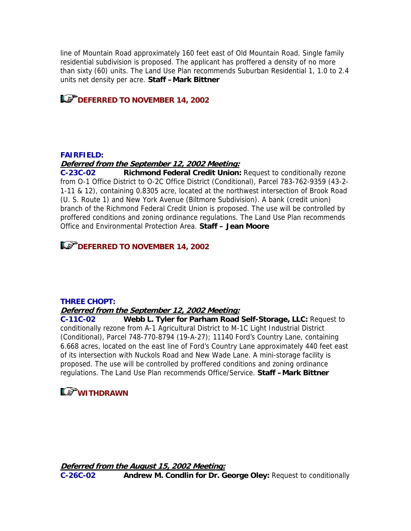line of Mountain Road approximately 160 feet east of Old Mountain Road. Single family residential subdivision is proposed. The applicant has proffered a density of no more than sixty (60) units. The Land Use Plan recommends Suburban Residential 1, 1.0 to 2.4 units net density per acre. **Staff –Mark Bittner**

**LS DEFERRED TO NOVEMBER 14, 2002** 

#### **FAIRFIELD:**

#### **Deferred from the September 12, 2002 Meeting:**

**C-23C-02 Richmond Federal Credit Union:** Request to conditionally rezone from O-1 Office District to O-2C Office District (Conditional), Parcel 783-762-9359 (43-2- 1-11 & 12), containing 0.8305 acre, located at the northwest intersection of Brook Road (U. S. Route 1) and New York Avenue (Biltmore Subdivision). A bank (credit union) branch of the Richmond Federal Credit Union is proposed. The use will be controlled by proffered conditions and zoning ordinance regulations. The Land Use Plan recommends Office and Environmental Protection Area. **Staff – Jean Moore**

**DEFERRED TO NOVEMBER 14, 2002** 

#### **THREE CHOPT:**

#### **Deferred from the September 12, 2002 Meeting:**

**C-11C-02 Webb L. Tyler for Parham Road Self-Storage, LLC:** Request to conditionally rezone from A-1 Agricultural District to M-1C Light Industrial District (Conditional), Parcel 748-770-8794 (19-A-27); 11140 Ford's Country Lane, containing 6.668 acres, located on the east line of Ford's Country Lane approximately 440 feet east of its intersection with Nuckols Road and New Wade Lane. A mini-storage facility is proposed. The use will be controlled by proffered conditions and zoning ordinance regulations. The Land Use Plan recommends Office/Service. **Staff –Mark Bittner**

### **WITHDRAWN**

**Deferred from the August 15, 2002 Meeting: C-26C-02 Andrew M. Condlin for Dr. George Oley:** Request to conditionally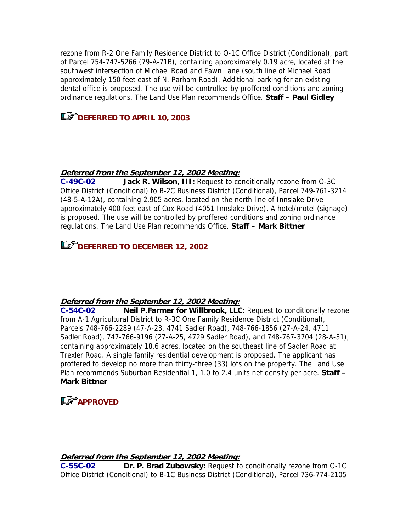rezone from R-2 One Family Residence District to O-1C Office District (Conditional), part of Parcel 754-747-5266 (79-A-71B), containing approximately 0.19 acre, located at the southwest intersection of Michael Road and Fawn Lane (south line of Michael Road approximately 150 feet east of N. Parham Road). Additional parking for an existing dental office is proposed. The use will be controlled by proffered conditions and zoning ordinance regulations. The Land Use Plan recommends Office. **Staff – Paul Gidley**

# **LET DEFERRED TO APRIL 10, 2003**

### **Deferred from the September 12, 2002 Meeting:**

**C-49C-02 Jack R. Wilson, III:** Request to conditionally rezone from O-3C Office District (Conditional) to B-2C Business District (Conditional), Parcel 749-761-3214 (48-5-A-12A), containing 2.905 acres, located on the north line of Innslake Drive approximately 400 feet east of Cox Road (4051 Innslake Drive). A hotel/motel (signage) is proposed. The use will be controlled by proffered conditions and zoning ordinance regulations. The Land Use Plan recommends Office. **Staff – Mark Bittner**

# **DEFERRED TO DECEMBER 12, 2002**

### **Deferred from the September 12, 2002 Meeting:**

**C-54C-02 Neil P.Farmer for Willbrook, LLC:** Request to conditionally rezone from A-1 Agricultural District to R-3C One Family Residence District (Conditional), Parcels 748-766-2289 (47-A-23, 4741 Sadler Road), 748-766-1856 (27-A-24, 4711 Sadler Road), 747-766-9196 (27-A-25, 4729 Sadler Road), and 748-767-3704 (28-A-31), containing approximately 18.6 acres, located on the southeast line of Sadler Road at Trexler Road. A single family residential development is proposed. The applicant has proffered to develop no more than thirty-three (33) lots on the property. The Land Use Plan recommends Suburban Residential 1, 1.0 to 2.4 units net density per acre. **Staff – Mark Bittner**

# **LS** APPROVED

### **Deferred from the September 12, 2002 Meeting:**

**C-55C-02 Dr. P. Brad Zubowsky:** Request to conditionally rezone from O-1C Office District (Conditional) to B-1C Business District (Conditional), Parcel 736-774-2105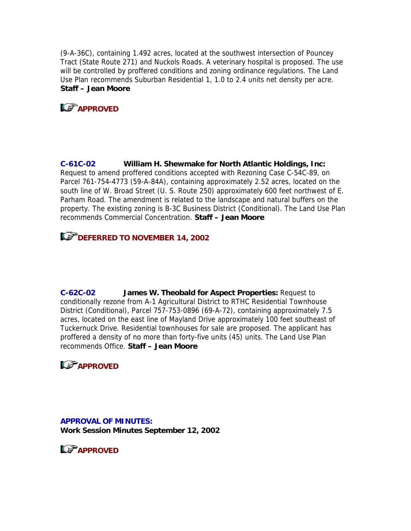(9-A-36C), containing 1.492 acres, located at the southwest intersection of Pouncey Tract (State Route 271) and Nuckols Roads. A veterinary hospital is proposed. The use will be controlled by proffered conditions and zoning ordinance regulations. The Land Use Plan recommends Suburban Residential 1, 1.0 to 2.4 units net density per acre. **Staff – Jean Moore**

**LS** APPROVED

**C-61C-02 William H. Shewmake for North Atlantic Holdings, Inc:**  Request to amend proffered conditions accepted with Rezoning Case C-54C-89, on Parcel 761-754-4773 (59-A-84A), containing approximately 2.52 acres, located on the south line of W. Broad Street (U. S. Route 250) approximately 600 feet northwest of E. Parham Road. The amendment is related to the landscape and natural buffers on the property. The existing zoning is B-3C Business District (Conditional). The Land Use Plan recommends Commercial Concentration. **Staff – Jean Moore**

# **DEFERRED TO NOVEMBER 14, 2002**

**C-62C-02 James W. Theobald for Aspect Properties:** Request to conditionally rezone from A-1 Agricultural District to RTHC Residential Townhouse District (Conditional), Parcel 757-753-0896 (69-A-72), containing approximately 7.5 acres, located on the east line of Mayland Drive approximately 100 feet southeast of Tuckernuck Drive. Residential townhouses for sale are proposed. The applicant has proffered a density of no more than forty-five units (45) units. The Land Use Plan recommends Office. **Staff – Jean Moore**



**APPROVAL OF MINUTES: Work Session Minutes September 12, 2002**

**APPROVED**